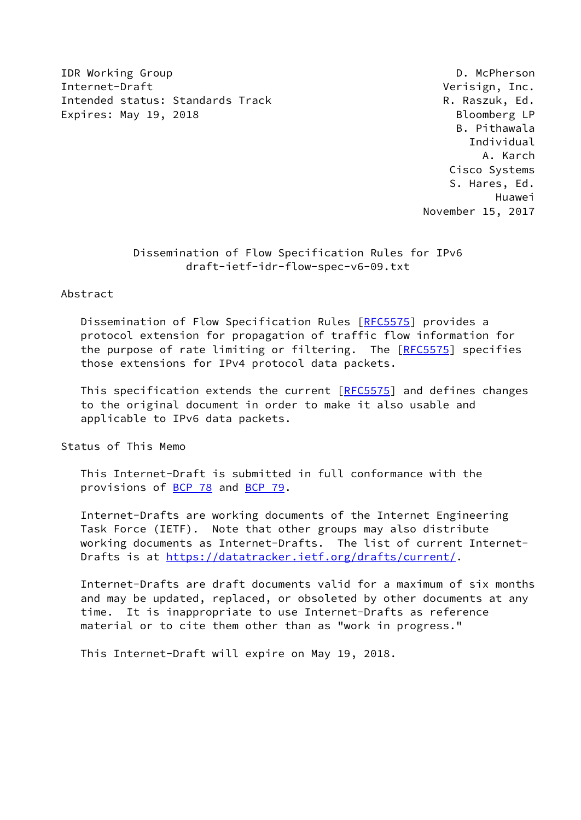IDR Working Group **D. McPherson** Internet-Draft **Verisign, Inc.** Intended status: Standards Track R. Raszuk, Ed. Expires: May 19, 2018 **Bloomberg LP** 

 B. Pithawala Individual A. Karch Cisco Systems S. Hares, Ed. Huawei November 15, 2017

## Dissemination of Flow Specification Rules for IPv6 draft-ietf-idr-flow-spec-v6-09.txt

## Abstract

 Dissemination of Flow Specification Rules [[RFC5575](https://datatracker.ietf.org/doc/pdf/rfc5575)] provides a protocol extension for propagation of traffic flow information for the purpose of rate limiting or filtering. The [\[RFC5575](https://datatracker.ietf.org/doc/pdf/rfc5575)] specifies those extensions for IPv4 protocol data packets.

This specification extends the current [\[RFC5575](https://datatracker.ietf.org/doc/pdf/rfc5575)] and defines changes to the original document in order to make it also usable and applicable to IPv6 data packets.

Status of This Memo

 This Internet-Draft is submitted in full conformance with the provisions of [BCP 78](https://datatracker.ietf.org/doc/pdf/bcp78) and [BCP 79](https://datatracker.ietf.org/doc/pdf/bcp79).

 Internet-Drafts are working documents of the Internet Engineering Task Force (IETF). Note that other groups may also distribute working documents as Internet-Drafts. The list of current Internet- Drafts is at<https://datatracker.ietf.org/drafts/current/>.

 Internet-Drafts are draft documents valid for a maximum of six months and may be updated, replaced, or obsoleted by other documents at any time. It is inappropriate to use Internet-Drafts as reference material or to cite them other than as "work in progress."

This Internet-Draft will expire on May 19, 2018.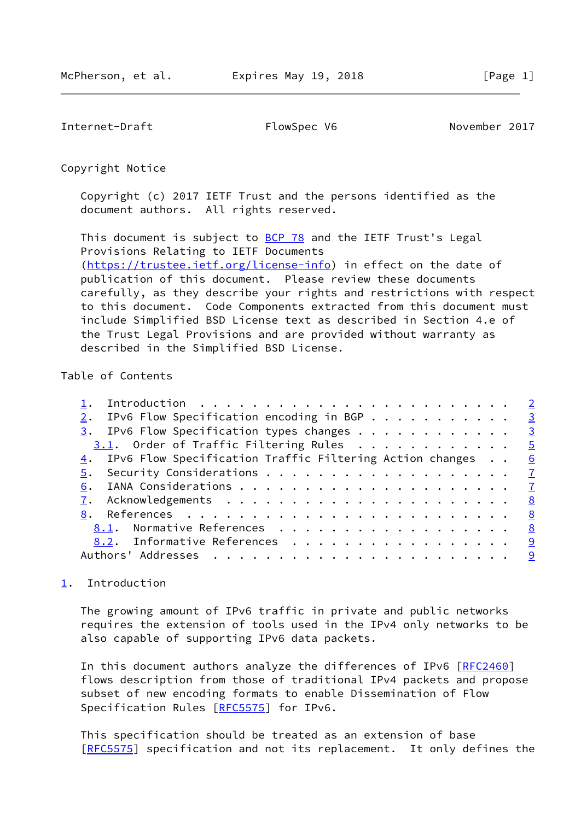<span id="page-1-1"></span>Internet-Draft FlowSpec V6 November 2017

Copyright Notice

 Copyright (c) 2017 IETF Trust and the persons identified as the document authors. All rights reserved.

This document is subject to **[BCP 78](https://datatracker.ietf.org/doc/pdf/bcp78)** and the IETF Trust's Legal Provisions Relating to IETF Documents [\(https://trustee.ietf.org/license-info](https://trustee.ietf.org/license-info)) in effect on the date of publication of this document. Please review these documents carefully, as they describe your rights and restrictions with respect to this document. Code Components extracted from this document must include Simplified BSD License text as described in Section 4.e of the Trust Legal Provisions and are provided without warranty as described in the Simplified BSD License.

Table of Contents

| 2. IPv6 Flow Specification encoding in BGP 3                  |  |
|---------------------------------------------------------------|--|
| $\frac{3}{2}$ . IPv6 Flow Specification types changes 3       |  |
| $3.1.$ Order of Traffic Filtering Rules 5                     |  |
| 4. IPv6 Flow Specification Traffic Filtering Action changes 6 |  |
|                                                               |  |
|                                                               |  |
|                                                               |  |
|                                                               |  |
| 8.1. Normative References 8                                   |  |
| 8.2. Informative References 9                                 |  |
|                                                               |  |
|                                                               |  |

## <span id="page-1-0"></span>[1](#page-1-0). Introduction

 The growing amount of IPv6 traffic in private and public networks requires the extension of tools used in the IPv4 only networks to be also capable of supporting IPv6 data packets.

In this document authors analyze the differences of IPv6 [\[RFC2460](https://datatracker.ietf.org/doc/pdf/rfc2460)] flows description from those of traditional IPv4 packets and propose subset of new encoding formats to enable Dissemination of Flow Specification Rules [\[RFC5575](https://datatracker.ietf.org/doc/pdf/rfc5575)] for IPv6.

 This specification should be treated as an extension of base [\[RFC5575](https://datatracker.ietf.org/doc/pdf/rfc5575)] specification and not its replacement. It only defines the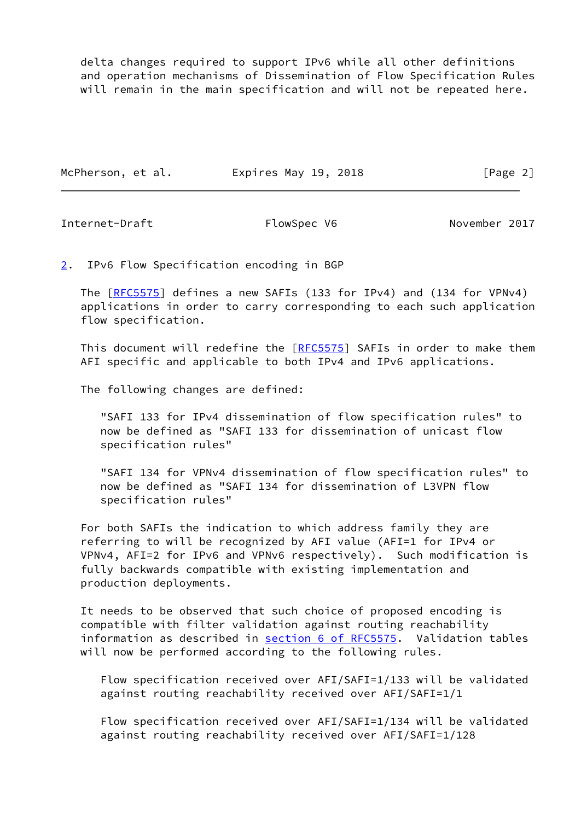delta changes required to support IPv6 while all other definitions and operation mechanisms of Dissemination of Flow Specification Rules will remain in the main specification and will not be repeated here.

| McPherson, et al. | Expires May 19, 2018 | [Page 2] |
|-------------------|----------------------|----------|
|                   |                      |          |

<span id="page-2-1"></span>Internet-Draft FlowSpec V6 November 2017

<span id="page-2-0"></span>[2](#page-2-0). IPv6 Flow Specification encoding in BGP

The [\[RFC5575](https://datatracker.ietf.org/doc/pdf/rfc5575)] defines a new SAFIs (133 for IPv4) and (134 for VPNv4) applications in order to carry corresponding to each such application flow specification.

This document will redefine the [\[RFC5575](https://datatracker.ietf.org/doc/pdf/rfc5575)] SAFIs in order to make them AFI specific and applicable to both IPv4 and IPv6 applications.

The following changes are defined:

 "SAFI 133 for IPv4 dissemination of flow specification rules" to now be defined as "SAFI 133 for dissemination of unicast flow specification rules"

 "SAFI 134 for VPNv4 dissemination of flow specification rules" to now be defined as "SAFI 134 for dissemination of L3VPN flow specification rules"

 For both SAFIs the indication to which address family they are referring to will be recognized by AFI value (AFI=1 for IPv4 or VPNv4, AFI=2 for IPv6 and VPNv6 respectively). Such modification is fully backwards compatible with existing implementation and production deployments.

 It needs to be observed that such choice of proposed encoding is compatible with filter validation against routing reachability information as described in section [6 of RFC5575.](https://datatracker.ietf.org/doc/pdf/rfc5575#section-6) Validation tables will now be performed according to the following rules.

 Flow specification received over AFI/SAFI=1/133 will be validated against routing reachability received over AFI/SAFI=1/1

 Flow specification received over AFI/SAFI=1/134 will be validated against routing reachability received over AFI/SAFI=1/128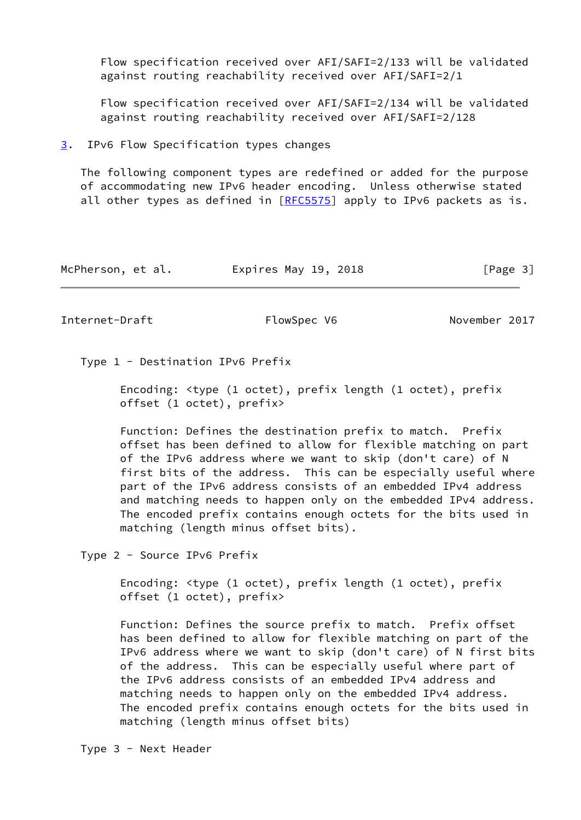Flow specification received over AFI/SAFI=2/133 will be validated against routing reachability received over AFI/SAFI=2/1

 Flow specification received over AFI/SAFI=2/134 will be validated against routing reachability received over AFI/SAFI=2/128

<span id="page-3-0"></span>[3](#page-3-0). IPv6 Flow Specification types changes

 The following component types are redefined or added for the purpose of accommodating new IPv6 header encoding. Unless otherwise stated all other types as defined in  $[REC5575]$  apply to IPv6 packets as is.

| McPherson, et al. | Expires May 19, 2018 | [Page 3] |
|-------------------|----------------------|----------|
|-------------------|----------------------|----------|

Internet-Draft FlowSpec V6 November 2017

Type 1 - Destination IPv6 Prefix

 Encoding: <type (1 octet), prefix length (1 octet), prefix offset (1 octet), prefix>

 Function: Defines the destination prefix to match. Prefix offset has been defined to allow for flexible matching on part of the IPv6 address where we want to skip (don't care) of N first bits of the address. This can be especially useful where part of the IPv6 address consists of an embedded IPv4 address and matching needs to happen only on the embedded IPv4 address. The encoded prefix contains enough octets for the bits used in matching (length minus offset bits).

Type 2 - Source IPv6 Prefix

 Encoding: <type (1 octet), prefix length (1 octet), prefix offset (1 octet), prefix>

 Function: Defines the source prefix to match. Prefix offset has been defined to allow for flexible matching on part of the IPv6 address where we want to skip (don't care) of N first bits of the address. This can be especially useful where part of the IPv6 address consists of an embedded IPv4 address and matching needs to happen only on the embedded IPv4 address. The encoded prefix contains enough octets for the bits used in matching (length minus offset bits)

Type 3 - Next Header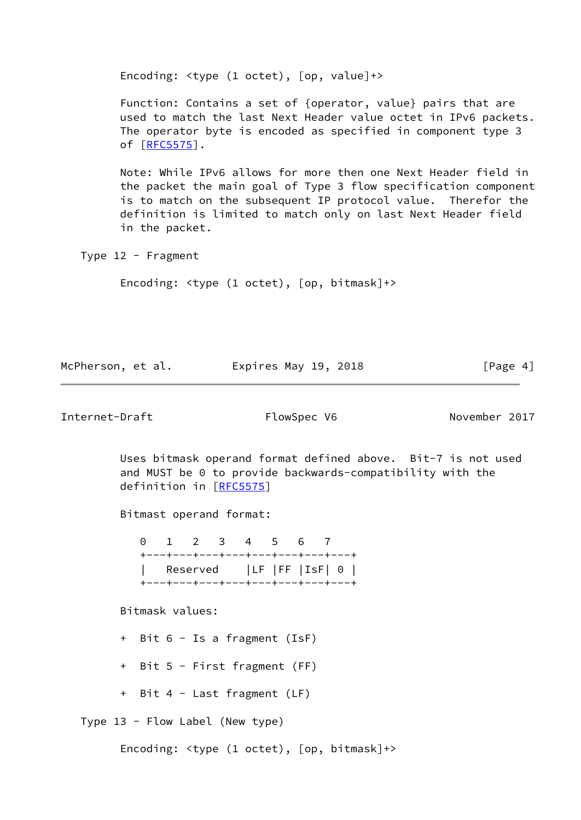Encoding: <type (1 octet), [op, value]+>

 Function: Contains a set of {operator, value} pairs that are used to match the last Next Header value octet in IPv6 packets. The operator byte is encoded as specified in component type 3 of [\[RFC5575](https://datatracker.ietf.org/doc/pdf/rfc5575)].

 Note: While IPv6 allows for more then one Next Header field in the packet the main goal of Type 3 flow specification component is to match on the subsequent IP protocol value. Therefor the definition is limited to match only on last Next Header field in the packet.

Type 12 - Fragment

Encoding: <type (1 octet), [op, bitmask]+>

| McPherson, et al. | Expires May 19, 2018 | [Page 4] |
|-------------------|----------------------|----------|
|                   |                      |          |

<span id="page-4-0"></span>Internet-Draft FlowSpec V6 November 2017

 Uses bitmask operand format defined above. Bit-7 is not used and MUST be 0 to provide backwards-compatibility with the definition in [\[RFC5575](https://datatracker.ietf.org/doc/pdf/rfc5575)]

Bitmast operand format:

 0 1 2 3 4 5 6 7 +---+---+---+---+---+---+---+---+ | Reserved |LF |FF |IsF| 0 | +---+---+---+---+---+---+---+---+

Bitmask values:

+ Bit 6 - Is a fragment (IsF)

+ Bit 5 - First fragment (FF)

+ Bit 4 - Last fragment (LF)

Type 13 - Flow Label (New type)

Encoding: <type (1 octet), [op, bitmask]+>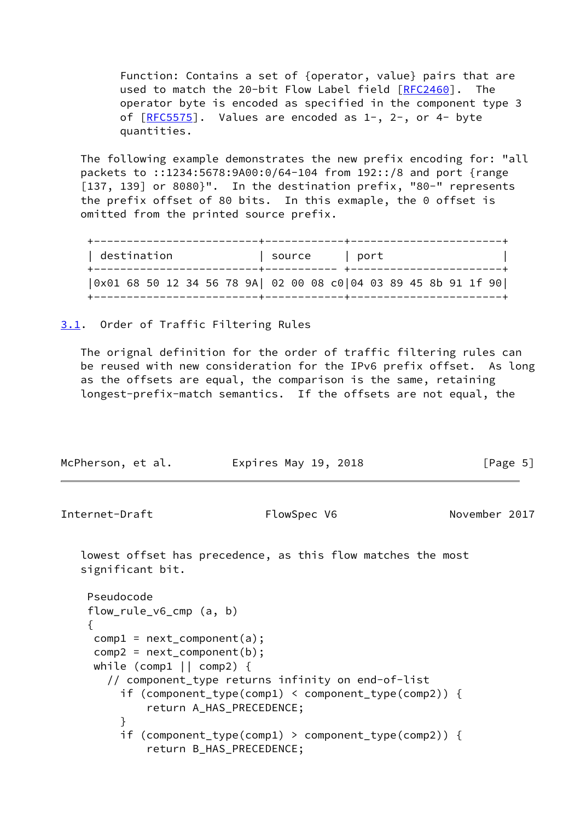Function: Contains a set of {operator, value} pairs that are used to match the 20-bit Flow Label field [\[RFC2460](https://datatracker.ietf.org/doc/pdf/rfc2460)]. The operator byte is encoded as specified in the component type 3 of  $[REC5575]$ . Values are encoded as  $1-$ ,  $2-$ , or  $4-$  byte quantities.

 The following example demonstrates the new prefix encoding for: "all packets to ::1234:5678:9A00:0/64-104 from 192::/8 and port {range [137, 139] or 8080}". In the destination prefix, "80-" represents the prefix offset of 80 bits. In this exmaple, the 0 offset is omitted from the printed source prefix.

| destination                                                    | source            | port : |  |
|----------------------------------------------------------------|-------------------|--------|--|
| 0x01 68 50 12 34 56 78 9A  02 00 08 c0 04 03 89 45 8b 91 1f 90 | --------+-------- |        |  |

<span id="page-5-0"></span>[3.1](#page-5-0). Order of Traffic Filtering Rules

 The orignal definition for the order of traffic filtering rules can be reused with new consideration for the IPv6 prefix offset. As long as the offsets are equal, the comparison is the same, retaining longest-prefix-match semantics. If the offsets are not equal, the

| McPherson, et al. | Expires May 19, 2018 | [Page 5] |
|-------------------|----------------------|----------|
|-------------------|----------------------|----------|

<span id="page-5-1"></span>Internet-Draft FlowSpec V6 November 2017

```
 lowest offset has precedence, as this flow matches the most
significant bit.
```

```
 Pseudocode
    flow_rule_v6_cmp (a, b)
    {
    comp1 = next_{component}(a);comp2 = next_{component}(b);
    while (comp1 || comp2) {
       // component_type returns infinity on end-of-list
         if (component_type(comp1) < component_type(comp2)) {
             return A_HAS_PRECEDENCE;
}
         if (component_type(comp1) > component_type(comp2)) {
             return B_HAS_PRECEDENCE;
```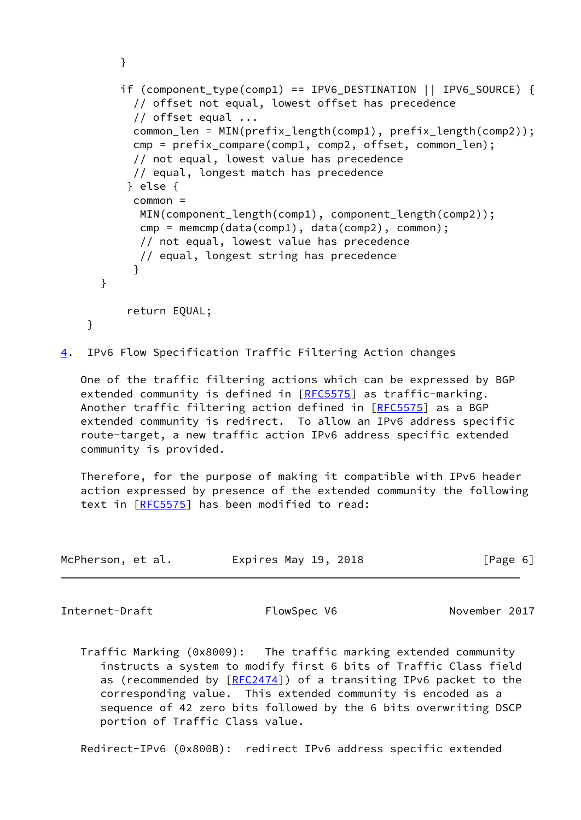```
 }
        if (component type(comp1) == IPV6 DESTINATION || IPV6 SOURCE) {
           // offset not equal, lowest offset has precedence
           // offset equal ...
          common len = MIN(prefix length(comp1), prefix length(comp2));
          cmp = prefix compare(comp1, comp2, offset, common len);
           // not equal, lowest value has precedence
          // equal, longest match has precedence
          } else {
           common =
            MIN(component_length(comp1), component_length(comp2));
            cmp = memcmp(data(comp1), data(comp2), common);
            // not equal, lowest value has precedence
            // equal, longest string has precedence
}
      }
          return EQUAL;
   }
```

```
4. IPv6 Flow Specification Traffic Filtering Action changes
```
 One of the traffic filtering actions which can be expressed by BGP extended community is defined in [\[RFC5575](https://datatracker.ietf.org/doc/pdf/rfc5575)] as traffic-marking. Another traffic filtering action defined in [\[RFC5575](https://datatracker.ietf.org/doc/pdf/rfc5575)] as a BGP extended community is redirect. To allow an IPv6 address specific route-target, a new traffic action IPv6 address specific extended community is provided.

 Therefore, for the purpose of making it compatible with IPv6 header action expressed by presence of the extended community the following text in [\[RFC5575](https://datatracker.ietf.org/doc/pdf/rfc5575)] has been modified to read:

| McPherson, et al. | Expires May 19, 2018 | [Page 6] |
|-------------------|----------------------|----------|
|-------------------|----------------------|----------|

<span id="page-6-1"></span>Internet-Draft FlowSpec V6 November 2017

 Traffic Marking (0x8009): The traffic marking extended community instructs a system to modify first 6 bits of Traffic Class field as (recommended by [[RFC2474](https://datatracker.ietf.org/doc/pdf/rfc2474)]) of a transiting IPv6 packet to the corresponding value. This extended community is encoded as a sequence of 42 zero bits followed by the 6 bits overwriting DSCP portion of Traffic Class value.

Redirect-IPv6 (0x800B): redirect IPv6 address specific extended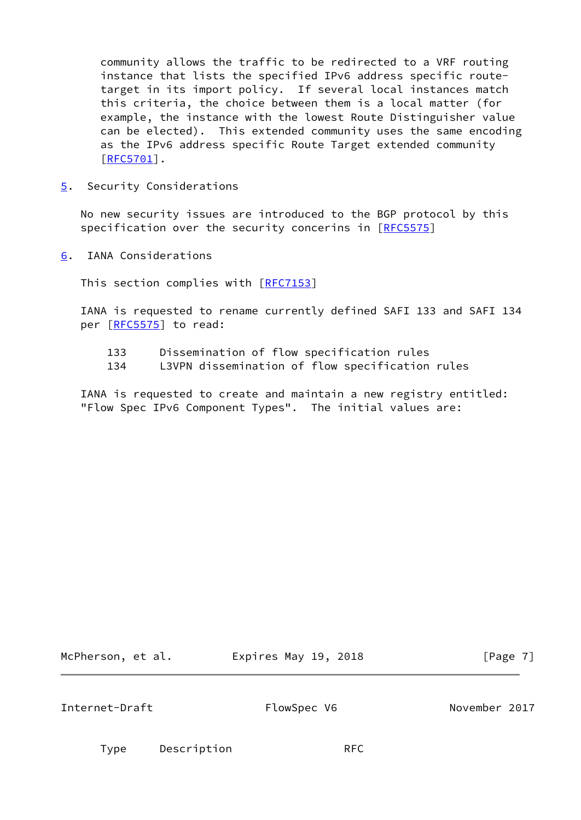community allows the traffic to be redirected to a VRF routing instance that lists the specified IPv6 address specific route target in its import policy. If several local instances match this criteria, the choice between them is a local matter (for example, the instance with the lowest Route Distinguisher value can be elected). This extended community uses the same encoding as the IPv6 address specific Route Target extended community [[RFC5701\]](https://datatracker.ietf.org/doc/pdf/rfc5701).

<span id="page-7-0"></span>[5](#page-7-0). Security Considerations

 No new security issues are introduced to the BGP protocol by this specification over the security concerins in [\[RFC5575](https://datatracker.ietf.org/doc/pdf/rfc5575)]

<span id="page-7-1"></span>[6](#page-7-1). IANA Considerations

This section complies with [[RFC7153\]](https://datatracker.ietf.org/doc/pdf/rfc7153)

 IANA is requested to rename currently defined SAFI 133 and SAFI 134 per [\[RFC5575](https://datatracker.ietf.org/doc/pdf/rfc5575)] to read:

- 133 Dissemination of flow specification rules
- 134 L3VPN dissemination of flow specification rules

 IANA is requested to create and maintain a new registry entitled: "Flow Spec IPv6 Component Types". The initial values are:

McPherson, et al. **Expires May 19, 2018**[Page 7]

<span id="page-7-2"></span>Internet-Draft FlowSpec V6 November 2017

Type Description RFC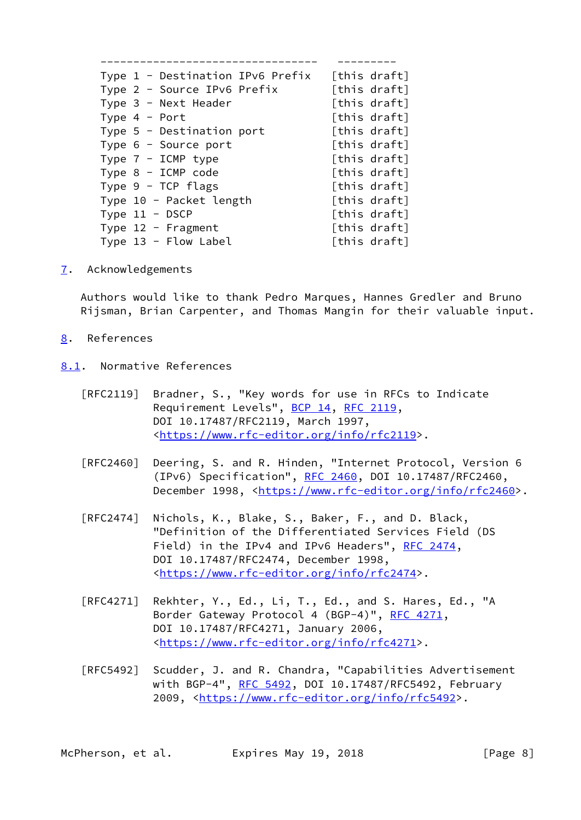| Type 1 - Destination IPv6 Prefix |  | [this draft] |
|----------------------------------|--|--------------|
| Type 2 - Source IPv6 Prefix      |  | [this draft] |
| Type 3 - Next Header             |  | [this draft] |
| Type $4$ - Port                  |  | [this draft] |
| Type $5$ - Destination port      |  | [this draft] |
| Type 6 - Source port             |  | [this draft] |
| Type $7 - ICMP$ type             |  | [this draft] |
| Type $8$ - ICMP code             |  | [this draft] |
| Type $9$ - TCP flags             |  | [this draft] |
| Type 10 - Packet length          |  | [this draft] |
| Type $11 - DSCP$                 |  | [this draft] |
| Type $12$ - Fragment             |  | [this draft] |
| Type $13$ - Flow Label           |  | [this draft] |
|                                  |  |              |

<span id="page-8-0"></span>[7](#page-8-0). Acknowledgements

 Authors would like to thank Pedro Marques, Hannes Gredler and Bruno Rijsman, Brian Carpenter, and Thomas Mangin for their valuable input.

- <span id="page-8-1"></span>[8](#page-8-1). References
- <span id="page-8-2"></span>[8.1](#page-8-2). Normative References

| [RFC2119] Bradner, S., "Key words for use in RFCs to Indicate |
|---------------------------------------------------------------|
| Requirement Levels", BCP 14, RFC 2119,                        |
| DOI 10.17487/RFC2119, March 1997,                             |
| <https: info="" rfc2119="" www.rfc-editor.org="">.</https:>   |

- [RFC2460] Deering, S. and R. Hinden, "Internet Protocol, Version 6 (IPv6) Specification", [RFC 2460](https://datatracker.ietf.org/doc/pdf/rfc2460), DOI 10.17487/RFC2460, December 1998, <<https://www.rfc-editor.org/info/rfc2460>>.
- [RFC2474] Nichols, K., Blake, S., Baker, F., and D. Black, "Definition of the Differentiated Services Field (DS Field) in the IPv4 and IPv6 Headers", [RFC 2474](https://datatracker.ietf.org/doc/pdf/rfc2474), DOI 10.17487/RFC2474, December 1998, <[https://www.rfc-editor.org/info/rfc2474>](https://www.rfc-editor.org/info/rfc2474).
- [RFC4271] Rekhter, Y., Ed., Li, T., Ed., and S. Hares, Ed., "A Border Gateway Protocol 4 (BGP-4)", [RFC 4271,](https://datatracker.ietf.org/doc/pdf/rfc4271) DOI 10.17487/RFC4271, January 2006, <[https://www.rfc-editor.org/info/rfc4271>](https://www.rfc-editor.org/info/rfc4271).
- [RFC5492] Scudder, J. and R. Chandra, "Capabilities Advertisement with BGP-4", [RFC 5492](https://datatracker.ietf.org/doc/pdf/rfc5492), DOI 10.17487/RFC5492, February 2009, [<https://www.rfc-editor.org/info/rfc5492](https://www.rfc-editor.org/info/rfc5492)>.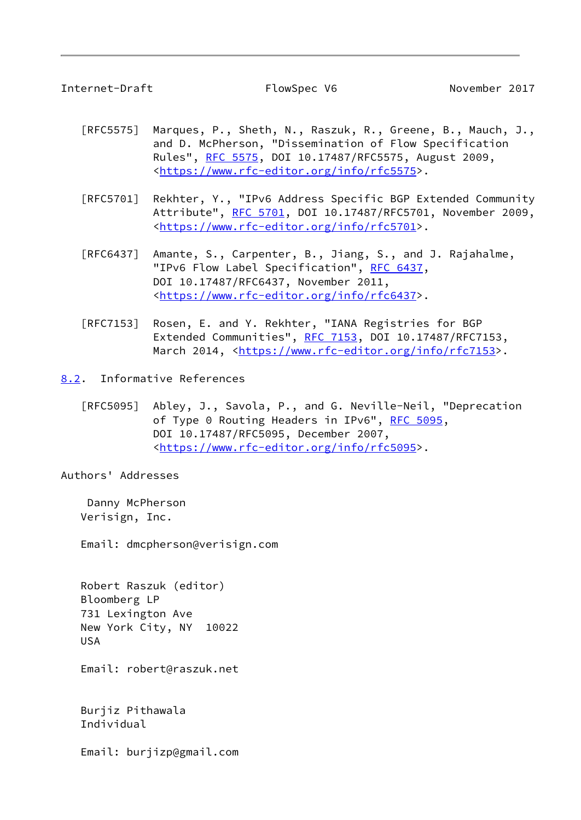<span id="page-9-1"></span>Internet-Draft FlowSpec V6 November 2017

- [RFC5575] Marques, P., Sheth, N., Raszuk, R., Greene, B., Mauch, J., and D. McPherson, "Dissemination of Flow Specification Rules", [RFC 5575,](https://datatracker.ietf.org/doc/pdf/rfc5575) DOI 10.17487/RFC5575, August 2009, <[https://www.rfc-editor.org/info/rfc5575>](https://www.rfc-editor.org/info/rfc5575).
- [RFC5701] Rekhter, Y., "IPv6 Address Specific BGP Extended Community Attribute", [RFC 5701,](https://datatracker.ietf.org/doc/pdf/rfc5701) DOI 10.17487/RFC5701, November 2009, <[https://www.rfc-editor.org/info/rfc5701>](https://www.rfc-editor.org/info/rfc5701).
- [RFC6437] Amante, S., Carpenter, B., Jiang, S., and J. Rajahalme, "IPv6 Flow Label Specification", [RFC 6437,](https://datatracker.ietf.org/doc/pdf/rfc6437) DOI 10.17487/RFC6437, November 2011, <[https://www.rfc-editor.org/info/rfc6437>](https://www.rfc-editor.org/info/rfc6437).
- [RFC7153] Rosen, E. and Y. Rekhter, "IANA Registries for BGP Extended Communities", [RFC 7153](https://datatracker.ietf.org/doc/pdf/rfc7153), DOI 10.17487/RFC7153, March 2014, [<https://www.rfc-editor.org/info/rfc7153](https://www.rfc-editor.org/info/rfc7153)>.

<span id="page-9-0"></span>[8.2](#page-9-0). Informative References

 [RFC5095] Abley, J., Savola, P., and G. Neville-Neil, "Deprecation of Type 0 Routing Headers in IPv6", [RFC 5095,](https://datatracker.ietf.org/doc/pdf/rfc5095) DOI 10.17487/RFC5095, December 2007, <[https://www.rfc-editor.org/info/rfc5095>](https://www.rfc-editor.org/info/rfc5095).

Authors' Addresses

 Danny McPherson Verisign, Inc.

Email: dmcpherson@verisign.com

 Robert Raszuk (editor) Bloomberg LP 731 Lexington Ave New York City, NY 10022 USA

Email: robert@raszuk.net

 Burjiz Pithawala Individual

Email: burjizp@gmail.com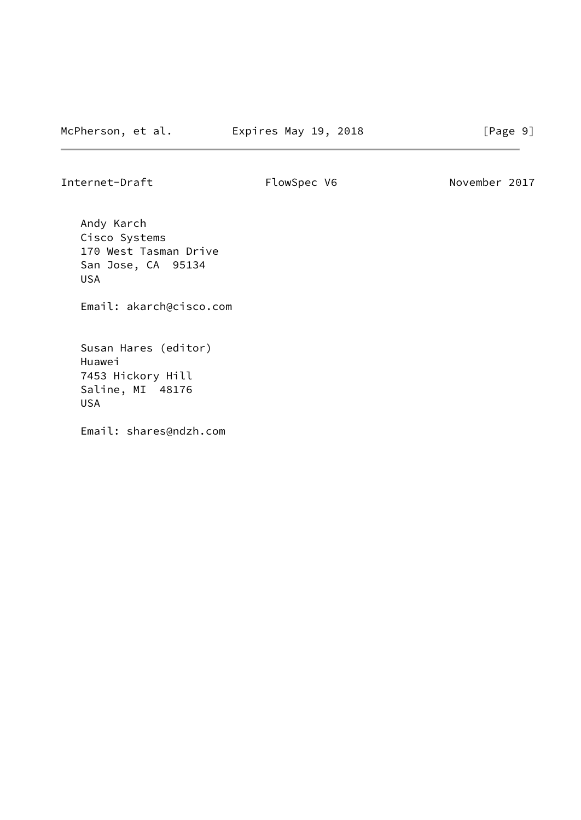Internet-Draft FlowSpec V6 November 2017

 Andy Karch Cisco Systems 170 West Tasman Drive San Jose, CA 95134 USA

Email: akarch@cisco.com

 Susan Hares (editor) Huawei 7453 Hickory Hill Saline, MI 48176 USA

Email: shares@ndzh.com